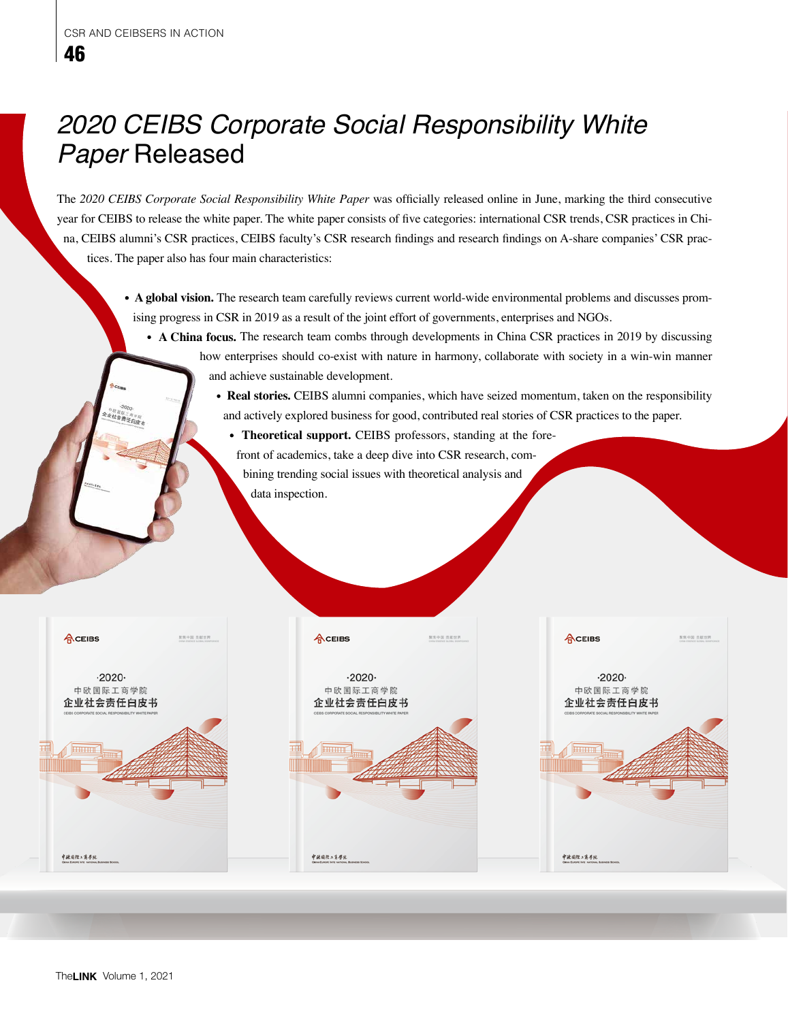## *2020 CEIBS Corporate Social Responsibility White Paper* Released

The *2020 CEIBS Corporate Social Responsibility White Paper* was officially released online in June, marking the third consecutive year for CEIBS to release the white paper. The white paper consists of five categories: international CSR trends, CSR practices in China, CEIBS alumni's CSR practices, CEIBS faculty's CSR research findings and research findings on A-share companies' CSR practices. The paper also has four main characteristics:

- **A global vision.** The research team carefully reviews current world-wide environmental problems and discusses promising progress in CSR in 2019 as a result of the joint effort of governments, enterprises and NGOs.
	- **A China focus.** The research team combs through developments in China CSR practices in 2019 by discussing how enterprises should co-exist with nature in harmony, collaborate with society in a win-win manner and achieve sustainable development.
		- **Real stories.** CEIBS alumni companies, which have seized momentum, taken on the responsibility and actively explored business for good, contributed real stories of CSR practices to the paper.
			- **Theoretical support.** CEIBS professors, standing at the forefront of academics, take a deep dive into CSR research, com-
			- bining trending social issues with theoretical analysis and data inspection.